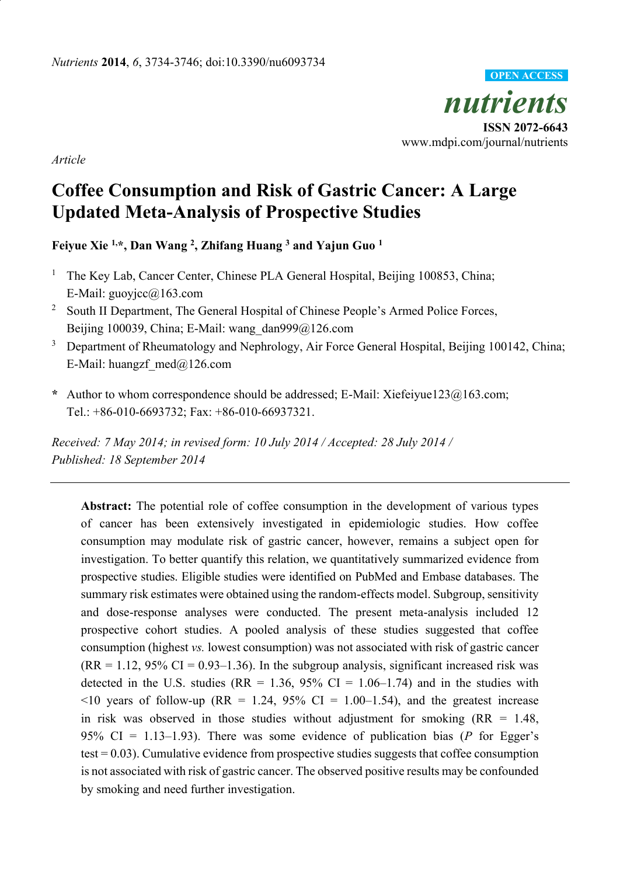*nutrients* **ISSN 2072-6643** www.mdpi.com/journal/nutrients **OPEN ACCESS**

*Article*

# **Coffee Consumption and Risk of Gastric Cancer: A Large Updated Meta-Analysis of Prospective Studies**

**Feiyue Xie 1,\*, Dan Wang <sup>2</sup> , Zhifang Huang <sup>3</sup> and Yajun Guo <sup>1</sup>**

- <sup>1</sup> The Key Lab, Cancer Center, Chinese PLA General Hospital, Beijing 100853, China; E-Mail: guoyjcc@163.com
- <sup>2</sup> South II Department, The General Hospital of Chinese People's Armed Police Forces, Beijing 100039, China; E-Mail: wang\_dan999@126.com
- <sup>3</sup> Department of Rheumatology and Nephrology, Air Force General Hospital, Beijing 100142, China; E-Mail: huangzf  $med@126.com$
- **\*** Author to whom correspondence should be addressed; E-Mail: Xiefeiyue123@163.com; Tel.: +86-010-6693732; Fax: +86-010-66937321.

*Received: 7 May 2014; in revised form: 10 July 2014 / Accepted: 28 July 2014 / Published: 18 September 2014*

**Abstract:** The potential role of coffee consumption in the development of various types of cancer has been extensively investigated in epidemiologic studies. How coffee consumption may modulate risk of gastric cancer, however, remains a subject open for investigation. To better quantify this relation, we quantitatively summarized evidence from prospective studies. Eligible studies were identified on PubMed and Embase databases. The summary risk estimates were obtained using the random-effects model. Subgroup, sensitivity and dose-response analyses were conducted. The present meta-analysis included 12 prospective cohort studies. A pooled analysis of these studies suggested that coffee consumption (highest *vs.* lowest consumption) was not associated with risk of gastric cancer  $(RR = 1.12, 95\% \text{ CI} = 0.93 - 1.36)$ . In the subgroup analysis, significant increased risk was detected in the U.S. studies ( $RR = 1.36$ ,  $95\%$  CI = 1.06–1.74) and in the studies with  $\leq$ 10 years of follow-up (RR = 1.24, 95% CI = 1.00–1.54), and the greatest increase in risk was observed in those studies without adjustment for smoking  $(RR = 1.48,$ 95% CI = 1.13–1.93). There was some evidence of publication bias (*P* for Egger's test = 0.03). Cumulative evidence from prospective studies suggests that coffee consumption is not associated with risk of gastric cancer. The observed positive results may be confounded by smoking and need further investigation.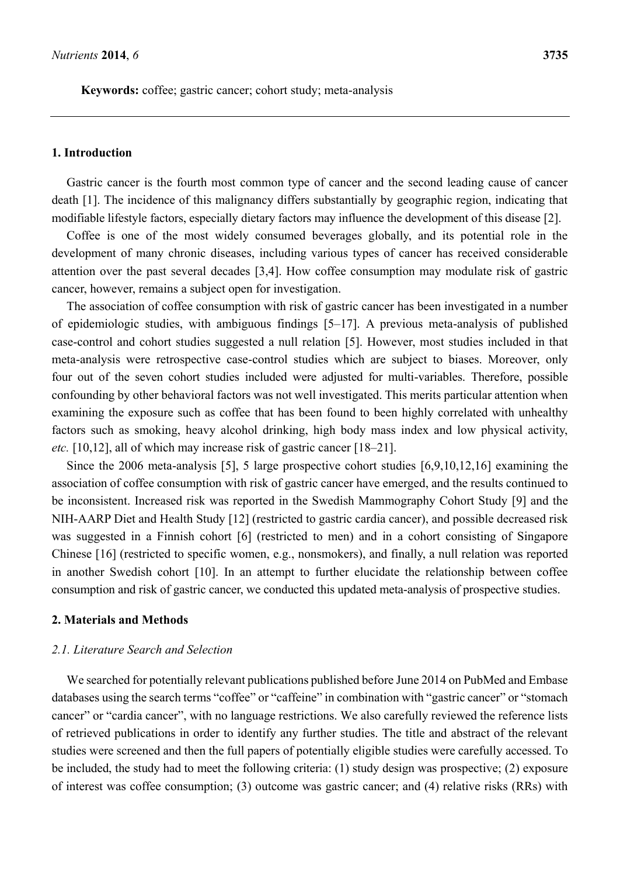**Keywords:** coffee; gastric cancer; cohort study; meta-analysis

### **1. Introduction**

Gastric cancer is the fourth most common type of cancer and the second leading cause of cancer death [1]. The incidence of this malignancy differs substantially by geographic region, indicating that modifiable lifestyle factors, especially dietary factors may influence the development of this disease [2].

Coffee is one of the most widely consumed beverages globally, and its potential role in the development of many chronic diseases, including various types of cancer has received considerable attention over the past several decades [3,4]. How coffee consumption may modulate risk of gastric cancer, however, remains a subject open for investigation.

The association of coffee consumption with risk of gastric cancer has been investigated in a number of epidemiologic studies, with ambiguous findings [5–17]. A previous meta-analysis of published case-control and cohort studies suggested a null relation [5]. However, most studies included in that meta-analysis were retrospective case-control studies which are subject to biases. Moreover, only four out of the seven cohort studies included were adjusted for multi-variables. Therefore, possible confounding by other behavioral factors was not well investigated. This merits particular attention when examining the exposure such as coffee that has been found to been highly correlated with unhealthy factors such as smoking, heavy alcohol drinking, high body mass index and low physical activity, *etc.* [10,12], all of which may increase risk of gastric cancer [18–21].

Since the 2006 meta-analysis [5], 5 large prospective cohort studies [6,9,10,12,16] examining the association of coffee consumption with risk of gastric cancer have emerged, and the results continued to be inconsistent. Increased risk was reported in the Swedish Mammography Cohort Study [9] and the NIH-AARP Diet and Health Study [12] (restricted to gastric cardia cancer), and possible decreased risk was suggested in a Finnish cohort [6] (restricted to men) and in a cohort consisting of Singapore Chinese [16] (restricted to specific women, e.g., nonsmokers), and finally, a null relation was reported in another Swedish cohort [10]. In an attempt to further elucidate the relationship between coffee consumption and risk of gastric cancer, we conducted this updated meta-analysis of prospective studies.

### **2. Materials and Methods**

#### *2.1. Literature Search and Selection*

We searched for potentially relevant publications published before June 2014 on PubMed and Embase databases using the search terms "coffee" or "caffeine" in combination with "gastric cancer" or "stomach cancer" or "cardia cancer", with no language restrictions. We also carefully reviewed the reference lists of retrieved publications in order to identify any further studies. The title and abstract of the relevant studies were screened and then the full papers of potentially eligible studies were carefully accessed. To be included, the study had to meet the following criteria: (1) study design was prospective; (2) exposure of interest was coffee consumption; (3) outcome was gastric cancer; and (4) relative risks (RRs) with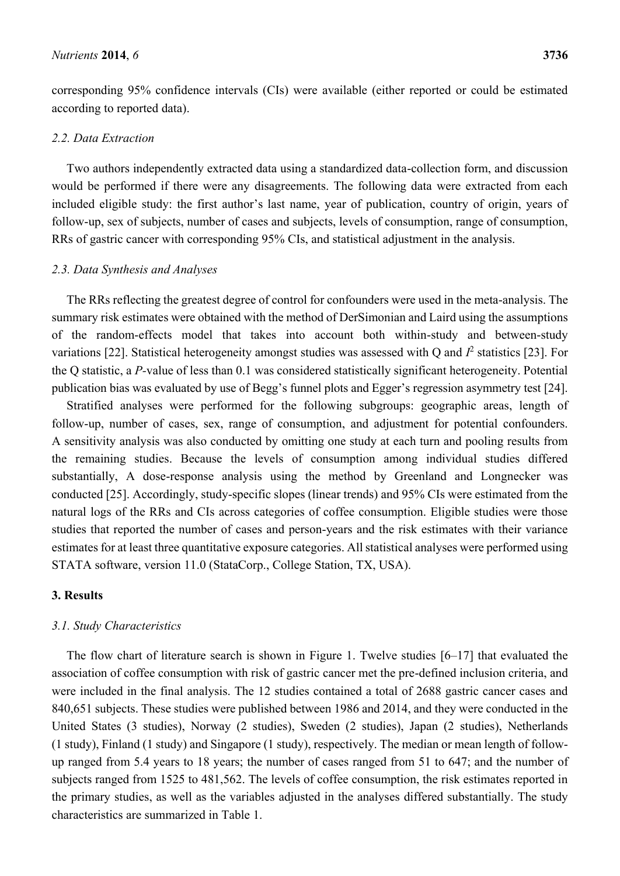corresponding 95% confidence intervals (CIs) were available (either reported or could be estimated according to reported data).

### *2.2. Data Extraction*

Two authors independently extracted data using a standardized data-collection form, and discussion would be performed if there were any disagreements. The following data were extracted from each included eligible study: the first author's last name, year of publication, country of origin, years of follow-up, sex of subjects, number of cases and subjects, levels of consumption, range of consumption, RRs of gastric cancer with corresponding 95% CIs, and statistical adjustment in the analysis.

### *2.3. Data Synthesis and Analyses*

The RRs reflecting the greatest degree of control for confounders were used in the meta-analysis. The summary risk estimates were obtained with the method of DerSimonian and Laird using the assumptions of the random-effects model that takes into account both within-study and between-study variations [22]. Statistical heterogeneity amongst studies was assessed with Q and  $I^2$  statistics [23]. For the Q statistic, a *P-*value of less than 0.1 was considered statistically significant heterogeneity. Potential publication bias was evaluated by use of Begg's funnel plots and Egger's regression asymmetry test [24].

Stratified analyses were performed for the following subgroups: geographic areas, length of follow-up, number of cases, sex, range of consumption, and adjustment for potential confounders. A sensitivity analysis was also conducted by omitting one study at each turn and pooling results from the remaining studies. Because the levels of consumption among individual studies differed substantially, A dose-response analysis using the method by Greenland and Longnecker was conducted [25]. Accordingly, study-specific slopes (linear trends) and 95% CIs were estimated from the natural logs of the RRs and CIs across categories of coffee consumption. Eligible studies were those studies that reported the number of cases and person-years and the risk estimates with their variance estimates for at least three quantitative exposure categories. All statistical analyses were performed using STATA software, version 11.0 (StataCorp., College Station, TX, USA).

### **3. Results**

### *3.1. Study Characteristics*

The flow chart of literature search is shown in Figure 1. Twelve studies [6–17] that evaluated the association of coffee consumption with risk of gastric cancer met the pre-defined inclusion criteria, and were included in the final analysis. The 12 studies contained a total of 2688 gastric cancer cases and 840,651 subjects. These studies were published between 1986 and 2014, and they were conducted in the United States (3 studies), Norway (2 studies), Sweden (2 studies), Japan (2 studies), Netherlands (1 study), Finland (1 study) and Singapore (1 study), respectively. The median or mean length of followup ranged from 5.4 years to 18 years; the number of cases ranged from 51 to 647; and the number of subjects ranged from 1525 to 481,562. The levels of coffee consumption, the risk estimates reported in the primary studies, as well as the variables adjusted in the analyses differed substantially. The study characteristics are summarized in Table 1.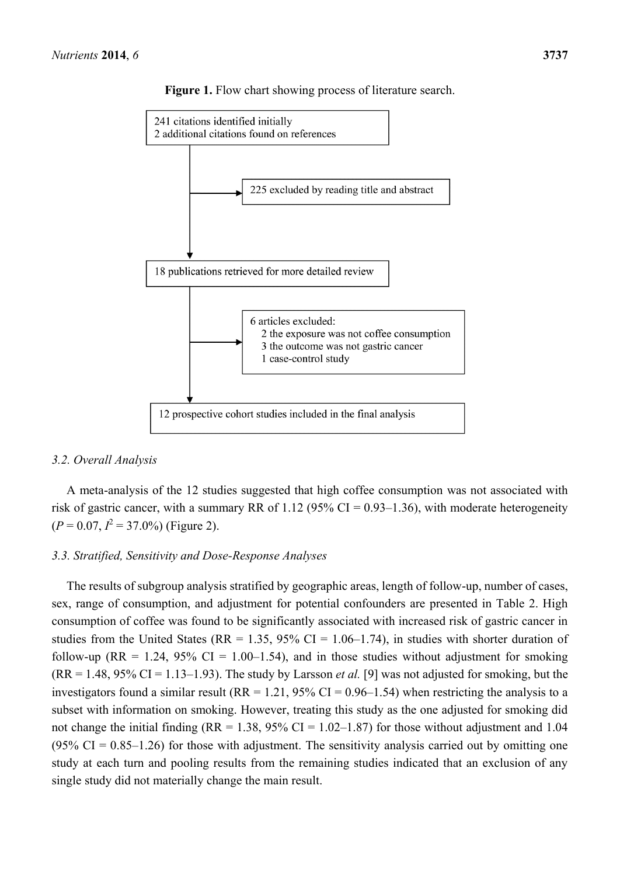

**Figure 1.** Flow chart showing process of literature search.

### *3.2. Overall Analysis*

A meta-analysis of the 12 studies suggested that high coffee consumption was not associated with risk of gastric cancer, with a summary RR of 1.12 (95% CI = 0.93–1.36), with moderate heterogeneity  $(P = 0.07, I^2 = 37.0\%)$  (Figure 2).

### *3.3. Stratified, Sensitivity and Dose-Response Analyses*

The results of subgroup analysis stratified by geographic areas, length of follow-up, number of cases, sex, range of consumption, and adjustment for potential confounders are presented in Table 2. High consumption of coffee was found to be significantly associated with increased risk of gastric cancer in studies from the United States ( $RR = 1.35$ , 95% CI = 1.06–1.74), in studies with shorter duration of follow-up (RR = 1.24, 95% CI = 1.00–1.54), and in those studies without adjustment for smoking  $(RR = 1.48, 95\% \text{ CI} = 1.13-1.93)$ . The study by Larsson *et al.* [9] was not adjusted for smoking, but the investigators found a similar result (RR = 1.21, 95% CI = 0.96–1.54) when restricting the analysis to a subset with information on smoking. However, treating this study as the one adjusted for smoking did not change the initial finding ( $RR = 1.38$ ,  $95\%$  CI = 1.02–1.87) for those without adjustment and 1.04  $(95\% \text{ CI} = 0.85 - 1.26)$  for those with adjustment. The sensitivity analysis carried out by omitting one study at each turn and pooling results from the remaining studies indicated that an exclusion of any single study did not materially change the main result.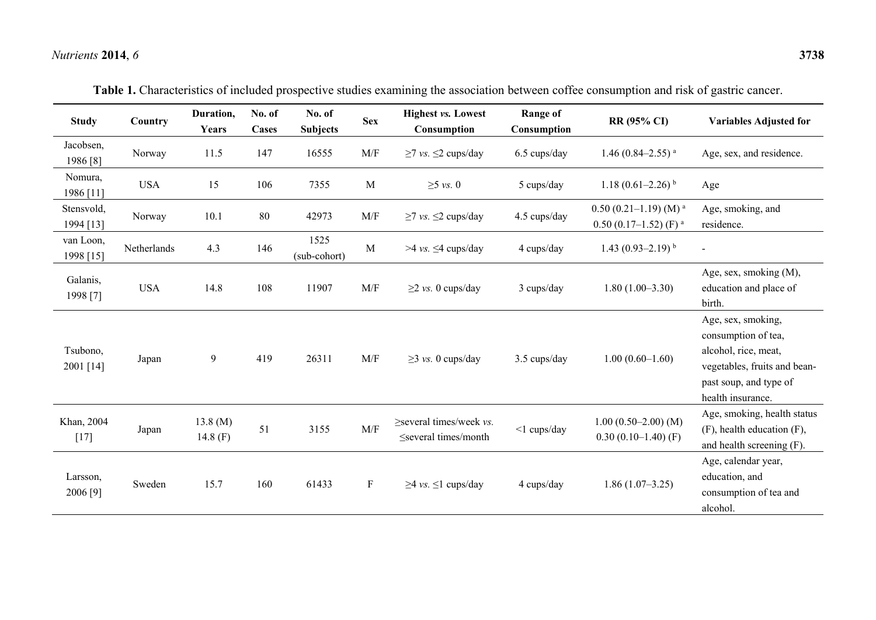# *Nutrients* **2014**, *6* **3738**

| <b>Study</b>            | Country     | Duration,<br>Years    | No. of<br><b>Cases</b> | No. of<br><b>Subjects</b> | <b>Sex</b>   | <b>Highest vs. Lowest</b><br>Consumption                   | Range of<br>Consumption | RR (95% CI)                                                     | <b>Variables Adjusted for</b>                                                                                                                    |
|-------------------------|-------------|-----------------------|------------------------|---------------------------|--------------|------------------------------------------------------------|-------------------------|-----------------------------------------------------------------|--------------------------------------------------------------------------------------------------------------------------------------------------|
| Jacobsen,<br>1986 [8]   | Norway      | 11.5                  | 147                    | 16555                     | M/F          | $\geq$ 7 vs. $\leq$ 2 cups/day                             | 6.5 cups/day            | 1.46 (0.84–2.55) <sup>a</sup>                                   | Age, sex, and residence.                                                                                                                         |
| Nomura,<br>1986 [11]    | <b>USA</b>  | 15                    | 106                    | 7355                      | $\mathbf{M}$ | $\geq$ 5 vs. 0                                             | 5 cups/day              | 1.18 $(0.61-2.26)$ <sup>b</sup>                                 | Age                                                                                                                                              |
| Stensvold,<br>1994 [13] | Norway      | 10.1                  | 80                     | 42973                     | M/F          | $\geq$ 7 vs. $\leq$ 2 cups/day                             | 4.5 cups/day            | $0.50(0.21-1.19)(M)^{a}$<br>$0.50$ (0.17-1.52) (F) <sup>a</sup> | Age, smoking, and<br>residence.                                                                                                                  |
| van Loon,<br>1998 [15]  | Netherlands | 4.3                   | 146                    | 1525<br>(sub-cohort)      | M            | $>4$ vs. $\leq$ 4 cups/day                                 | 4 cups/day              | 1.43 $(0.93-2.19)^{b}$                                          |                                                                                                                                                  |
| Galanis,<br>1998 [7]    | <b>USA</b>  | 14.8                  | 108                    | 11907                     | M/F          | $\geq$ 2 vs. 0 cups/day                                    | 3 cups/day              | $1.80(1.00-3.30)$                                               | Age, sex, smoking (M),<br>education and place of<br>birth.                                                                                       |
| Tsubono,<br>2001 [14]   | Japan       | 9                     | 419                    | 26311                     | M/F          | $\geq$ 3 vs. 0 cups/day                                    | 3.5 cups/day            | $1.00(0.60-1.60)$                                               | Age, sex, smoking,<br>consumption of tea,<br>alcohol, rice, meat,<br>vegetables, fruits and bean-<br>past soup, and type of<br>health insurance. |
| Khan, 2004<br>$[17]$    | Japan       | 13.8(M)<br>14.8 $(F)$ | 51                     | 3155                      | M/F          | $\ge$ several times/week vs.<br>$\leq$ several times/month | $<$ 1 cups/day          | $1.00 (0.50 - 2.00) (M)$<br>$0.30(0.10-1.40)$ (F)               | Age, smoking, health status<br>$(F)$ , health education $(F)$ ,<br>and health screening (F).                                                     |
| Larsson,<br>2006 [9]    | Sweden      | 15.7                  | 160                    | 61433                     | $\mathbf{F}$ | $\geq$ 4 vs. $\leq$ 1 cups/day                             | 4 cups/day              | $1.86(1.07-3.25)$                                               | Age, calendar year,<br>education, and<br>consumption of tea and<br>alcohol.                                                                      |

**Table 1.** Characteristics of included prospective studies examining the association between coffee consumption and risk of gastric cancer.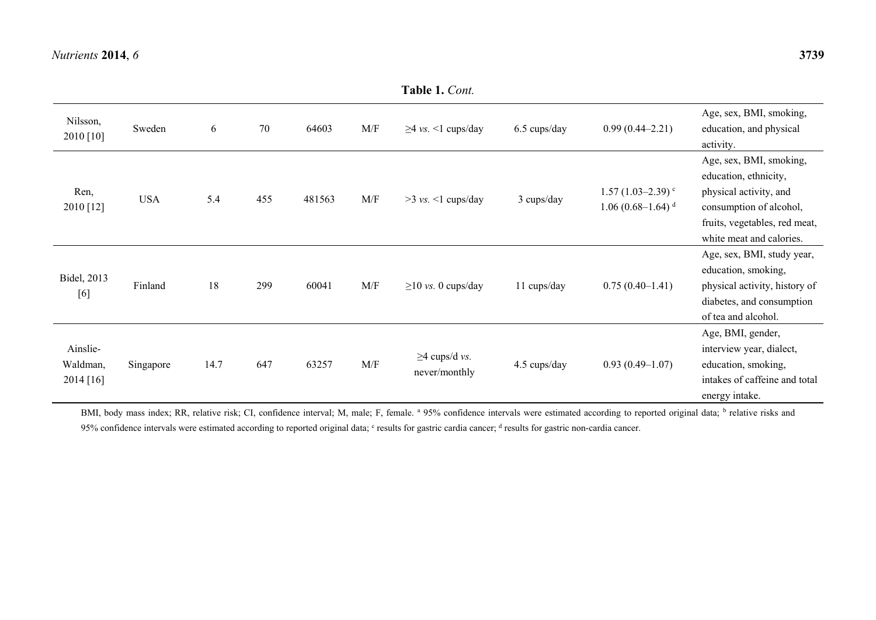|                                   |            |      |     |        |                                                             | <b>Table 1.</b> Cont.                |              |                                                                  |                                                                                                                                                                    |
|-----------------------------------|------------|------|-----|--------|-------------------------------------------------------------|--------------------------------------|--------------|------------------------------------------------------------------|--------------------------------------------------------------------------------------------------------------------------------------------------------------------|
| Nilsson,<br>2010 [10]             | Sweden     | 6    | 70  | 64603  | M/F                                                         | $\geq$ 4 vs. <1 cups/day             | 6.5 cups/day | $0.99(0.44 - 2.21)$                                              | Age, sex, BMI, smoking,<br>education, and physical<br>activity.                                                                                                    |
| Ren,<br>2010 [12]                 | <b>USA</b> | 5.4  | 455 | 481563 | M/F                                                         | $>3$ vs. $<1$ cups/day               | 3 cups/day   | $1.57(1.03-2.39)$ <sup>c</sup><br>$1.06(0.68-1.64)$ <sup>d</sup> | Age, sex, BMI, smoking,<br>education, ethnicity,<br>physical activity, and<br>consumption of alcohol,<br>fruits, vegetables, red meat,<br>white meat and calories. |
| Bidel, 2013<br>[6]                | Finland    | 18   | 299 | 60041  | M/F                                                         | $\geq$ 10 vs. 0 cups/day             | 11 cups/day  | $0.75(0.40-1.41)$                                                | Age, sex, BMI, study year,<br>education, smoking,<br>physical activity, history of<br>diabetes, and consumption<br>of tea and alcohol.                             |
| Ainslie-<br>Waldman,<br>2014 [16] | Singapore  | 14.7 | 647 | 63257  | $\ensuremath{\text{M}}\xspace/\ensuremath{\text{F}}\xspace$ | $\geq$ 4 cups/d vs.<br>never/monthly | 4.5 cups/day | $0.93(0.49-1.07)$                                                | Age, BMI, gender,<br>interview year, dialect,<br>education, smoking,<br>intakes of caffeine and total<br>energy intake.                                            |

BMI, body mass index; RR, relative risk; CI, confidence interval; M, male; F, female. <sup>a</sup> 95% confidence intervals were estimated according to reported original data; <sup>b</sup> relative risks and 95% confidence intervals were estimated according to reported original data; <sup>c</sup> results for gastric cardia cancer; <sup>d</sup> results for gastric non-cardia cancer.

**Table 1.** *Cont.*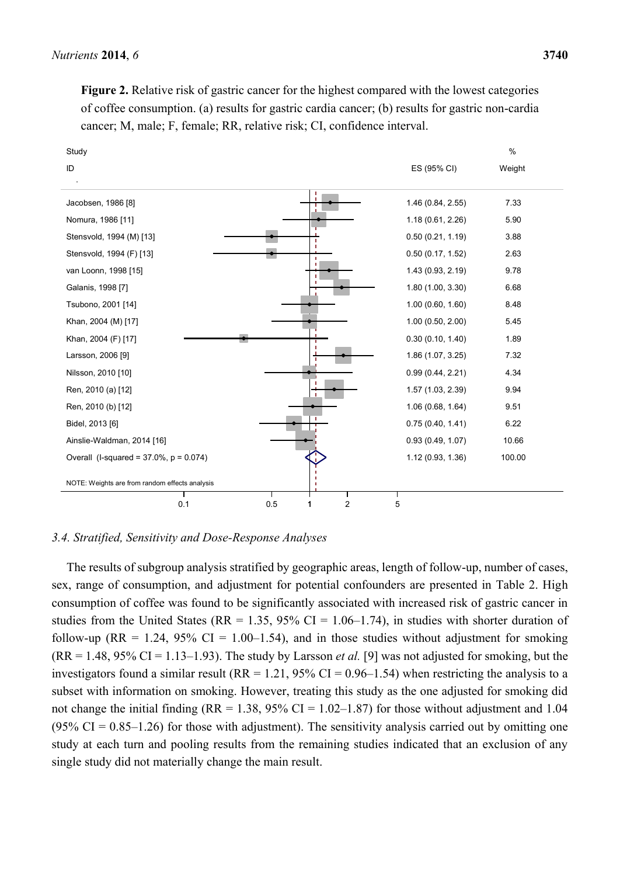**Figure 2.** Relative risk of gastric cancer for the highest compared with the lowest categories of coffee consumption. (a) results for gastric cardia cancer; (b) results for gastric non-cardia cancer; M, male; F, female; RR, relative risk; CI, confidence interval.



### *3.4. Stratified, Sensitivity and Dose-Response Analyses*

The results of subgroup analysis stratified by geographic areas, length of follow-up, number of cases, sex, range of consumption, and adjustment for potential confounders are presented in Table 2. High consumption of coffee was found to be significantly associated with increased risk of gastric cancer in studies from the United States ( $RR = 1.35$ ,  $95\%$  CI = 1.06–1.74), in studies with shorter duration of follow-up (RR = 1.24, 95% CI = 1.00–1.54), and in those studies without adjustment for smoking  $(RR = 1.48, 95\% \text{ CI} = 1.13-1.93)$ . The study by Larsson *et al.* [9] was not adjusted for smoking, but the investigators found a similar result (RR = 1.21, 95% CI = 0.96–1.54) when restricting the analysis to a subset with information on smoking. However, treating this study as the one adjusted for smoking did not change the initial finding ( $RR = 1.38$ ,  $95\%$  CI = 1.02–1.87) for those without adjustment and 1.04 (95% CI =  $0.85-1.26$ ) for those with adjustment). The sensitivity analysis carried out by omitting one study at each turn and pooling results from the remaining studies indicated that an exclusion of any single study did not materially change the main result.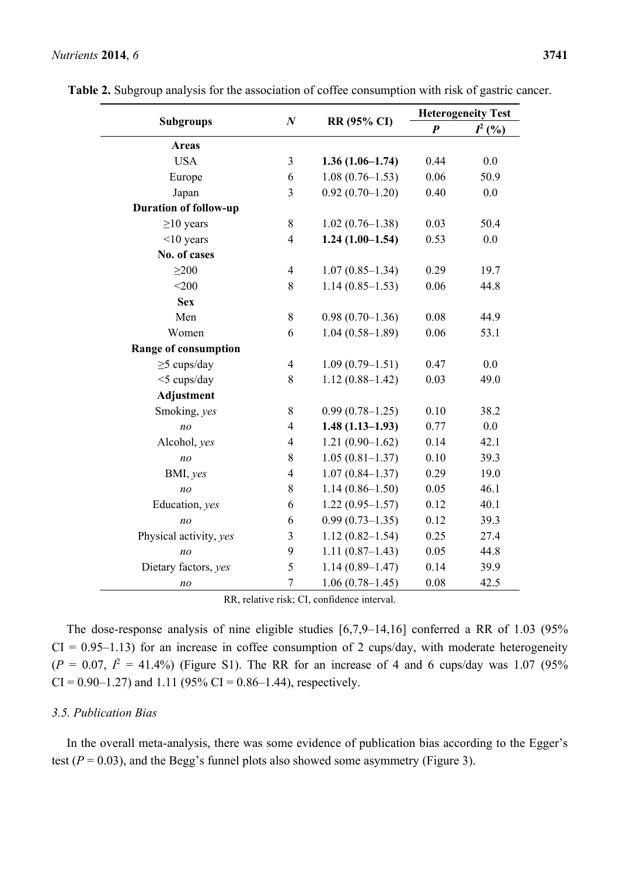### *Nutrients* **2014**, *6* **3741**

|                              |                  |                     | <b>Heterogeneity Test</b> |           |  |
|------------------------------|------------------|---------------------|---------------------------|-----------|--|
| <b>Subgroups</b>             | $\boldsymbol{N}$ | RR (95% CI)         | $\boldsymbol{P}$          | $I^2$ (%) |  |
| <b>Areas</b>                 |                  |                     |                           |           |  |
| <b>USA</b>                   | $\overline{3}$   | $1.36(1.06-1.74)$   | 0.44                      | 0.0       |  |
| Europe                       | 6                | $1.08(0.76 - 1.53)$ | 0.06                      | 50.9      |  |
| Japan                        | $\overline{3}$   | $0.92(0.70-1.20)$   | 0.40                      | 0.0       |  |
| <b>Duration of follow-up</b> |                  |                     |                           |           |  |
| $\geq$ 10 years              | 8                | $1.02(0.76 - 1.38)$ | 0.03                      | 50.4      |  |
| $<$ 10 years                 | $\overline{4}$   | $1.24(1.00-1.54)$   | 0.53                      | 0.0       |  |
| No. of cases                 |                  |                     |                           |           |  |
| $\geq$ 200                   | $\overline{4}$   | $1.07(0.85 - 1.34)$ | 0.29                      | 19.7      |  |
| $<$ 200                      | 8                | $1.14(0.85-1.53)$   | 0.06                      | 44.8      |  |
| <b>Sex</b>                   |                  |                     |                           |           |  |
| Men                          | $8\,$            | $0.98(0.70-1.36)$   | 0.08                      | 44.9      |  |
| Women                        | 6                | $1.04(0.58-1.89)$   | 0.06                      | 53.1      |  |
| Range of consumption         |                  |                     |                           |           |  |
| $\geq$ 5 cups/day            | $\overline{4}$   | $1.09(0.79-1.51)$   | 0.47                      | 0.0       |  |
| <5 cups/day                  | 8                | $1.12(0.88 - 1.42)$ | 0.03                      | 49.0      |  |
| <b>Adjustment</b>            |                  |                     |                           |           |  |
| Smoking, yes                 | 8                | $0.99(0.78 - 1.25)$ | 0.10                      | 38.2      |  |
| n <sub>O</sub>               | $\overline{4}$   | $1.48(1.13-1.93)$   | 0.77                      | 0.0       |  |
| Alcohol, yes                 | 4                | $1.21(0.90-1.62)$   | 0.14                      | 42.1      |  |
| no                           | 8                | $1.05(0.81 - 1.37)$ | 0.10                      | 39.3      |  |
| BMI, yes                     | $\overline{4}$   | $1.07(0.84 - 1.37)$ | 0.29                      | 19.0      |  |
| no                           | 8                | $1.14(0.86 - 1.50)$ | 0.05                      | 46.1      |  |
| Education, yes               | 6                | $1.22(0.95 - 1.57)$ | 0.12                      | 40.1      |  |
| n <sub>O</sub>               | 6                | $0.99(0.73 - 1.35)$ | 0.12                      | 39.3      |  |
| Physical activity, yes       | 3                | $1.12(0.82 - 1.54)$ | 0.25                      | 27.4      |  |
| n <sub>O</sub>               | 9                | $1.11(0.87-1.43)$   | 0.05                      | 44.8      |  |
| Dietary factors, yes         | 5                | $1.14(0.89 - 1.47)$ | 0.14                      | 39.9      |  |
| no                           | $\overline{7}$   | $1.06(0.78-1.45)$   | 0.08                      | 42.5      |  |

|  | Table 2. Subgroup analysis for the association of coffee consumption with risk of gastric cancer. |  |
|--|---------------------------------------------------------------------------------------------------|--|
|--|---------------------------------------------------------------------------------------------------|--|

RR, relative risk; CI, confidence interval.

The dose-response analysis of nine eligible studies [6,7,9–14,16] conferred a RR of 1.03 (95%  $CI = 0.95-1.13$ ) for an increase in coffee consumption of 2 cups/day, with moderate heterogeneity  $(P = 0.07, P = 41.4\%)$  (Figure S1). The RR for an increase of 4 and 6 cups/day was 1.07 (95%)  $CI = 0.90 - 1.27$  and 1.11 (95%  $CI = 0.86 - 1.44$ ), respectively.

### *3.5. Publication Bias*

In the overall meta-analysis, there was some evidence of publication bias according to the Egger's test  $(P = 0.03)$ , and the Begg's funnel plots also showed some asymmetry (Figure 3).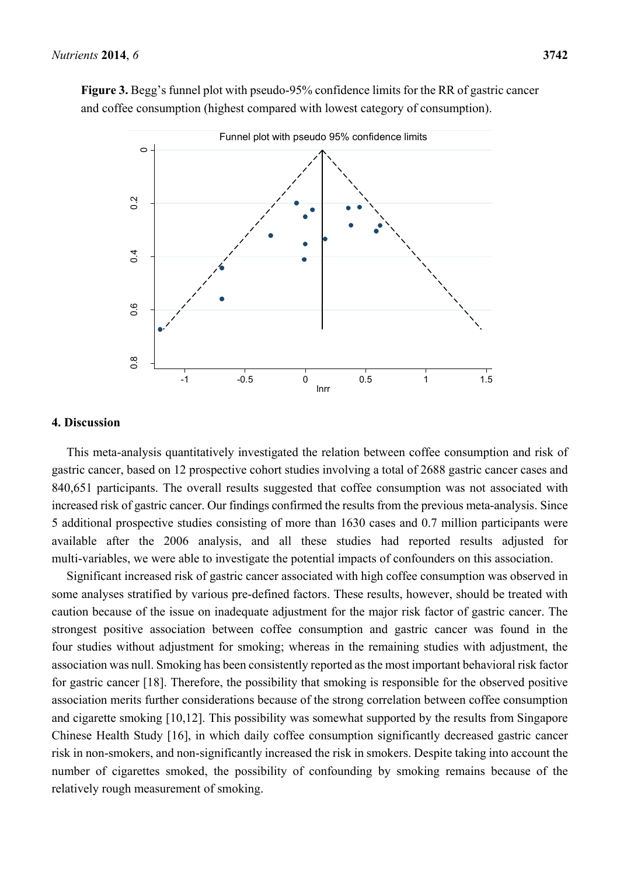

**Figure 3.** Begg's funnel plot with pseudo-95% confidence limits for the RR of gastric cancer and coffee consumption (highest compared with lowest category of consumption).

### **4. Discussion**

This meta-analysis quantitatively investigated the relation between coffee consumption and risk of gastric cancer, based on 12 prospective cohort studies involving a total of 2688 gastric cancer cases and 840,651 participants. The overall results suggested that coffee consumption was not associated with increased risk of gastric cancer. Our findings confirmed the results from the previous meta-analysis. Since 5 additional prospective studies consisting of more than 1630 cases and 0.7 million participants were available after the 2006 analysis, and all these studies had reported results adjusted for multi-variables, we were able to investigate the potential impacts of confounders on this association.

Significant increased risk of gastric cancer associated with high coffee consumption was observed in some analyses stratified by various pre-defined factors. These results, however, should be treated with caution because of the issue on inadequate adjustment for the major risk factor of gastric cancer. The strongest positive association between coffee consumption and gastric cancer was found in the four studies without adjustment for smoking; whereas in the remaining studies with adjustment, the association was null. Smoking has been consistently reported as the most important behavioral risk factor for gastric cancer [18]. Therefore, the possibility that smoking is responsible for the observed positive association merits further considerations because of the strong correlation between coffee consumption and cigarette smoking [10,12]. This possibility was somewhat supported by the results from Singapore Chinese Health Study [16], in which daily coffee consumption significantly decreased gastric cancer risk in non-smokers, and non-significantly increased the risk in smokers. Despite taking into account the number of cigarettes smoked, the possibility of confounding by smoking remains because of the relatively rough measurement of smoking.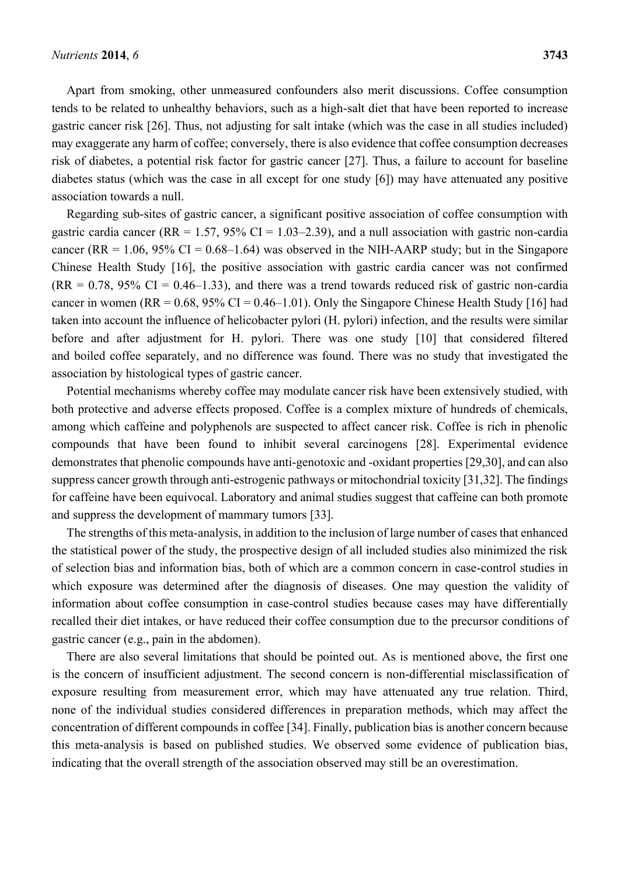Apart from smoking, other unmeasured confounders also merit discussions. Coffee consumption tends to be related to unhealthy behaviors, such as a high-salt diet that have been reported to increase gastric cancer risk [26]. Thus, not adjusting for salt intake (which was the case in all studies included) may exaggerate any harm of coffee; conversely, there is also evidence that coffee consumption decreases risk of diabetes, a potential risk factor for gastric cancer [27]. Thus, a failure to account for baseline diabetes status (which was the case in all except for one study [6]) may have attenuated any positive association towards a null.

Regarding sub-sites of gastric cancer, a significant positive association of coffee consumption with gastric cardia cancer ( $RR = 1.57$ ,  $95\%$  CI = 1.03–2.39), and a null association with gastric non-cardia cancer (RR =  $1.06$ , 95% CI =  $0.68-1.64$ ) was observed in the NIH-AARP study; but in the Singapore Chinese Health Study [16], the positive association with gastric cardia cancer was not confirmed  $(RR = 0.78, 95\% \text{ CI} = 0.46 - 1.33)$ , and there was a trend towards reduced risk of gastric non-cardia cancer in women (RR =  $0.68$ ,  $95\%$  CI =  $0.46-1.01$ ). Only the Singapore Chinese Health Study [16] had taken into account the influence of helicobacter pylori (H. pylori) infection, and the results were similar before and after adjustment for H. pylori. There was one study [10] that considered filtered and boiled coffee separately, and no difference was found. There was no study that investigated the association by histological types of gastric cancer.

Potential mechanisms whereby coffee may modulate cancer risk have been extensively studied, with both protective and adverse effects proposed. Coffee is a complex mixture of hundreds of chemicals, among which caffeine and polyphenols are suspected to affect cancer risk. Coffee is rich in phenolic compounds that have been found to inhibit several carcinogens [28]. Experimental evidence demonstrates that phenolic compounds have anti-genotoxic and -oxidant properties [29,30], and can also suppress cancer growth through anti-estrogenic pathways or mitochondrial toxicity [31,32]. The findings for caffeine have been equivocal. Laboratory and animal studies suggest that caffeine can both promote and suppress the development of mammary tumors [33].

The strengths of this meta-analysis, in addition to the inclusion of large number of cases that enhanced the statistical power of the study, the prospective design of all included studies also minimized the risk of selection bias and information bias, both of which are a common concern in case-control studies in which exposure was determined after the diagnosis of diseases. One may question the validity of information about coffee consumption in case-control studies because cases may have differentially recalled their diet intakes, or have reduced their coffee consumption due to the precursor conditions of gastric cancer (e.g., pain in the abdomen).

There are also several limitations that should be pointed out. As is mentioned above, the first one is the concern of insufficient adjustment. The second concern is non-differential misclassification of exposure resulting from measurement error, which may have attenuated any true relation. Third, none of the individual studies considered differences in preparation methods, which may affect the concentration of different compounds in coffee [34]. Finally, publication bias is another concern because this meta-analysis is based on published studies. We observed some evidence of publication bias, indicating that the overall strength of the association observed may still be an overestimation.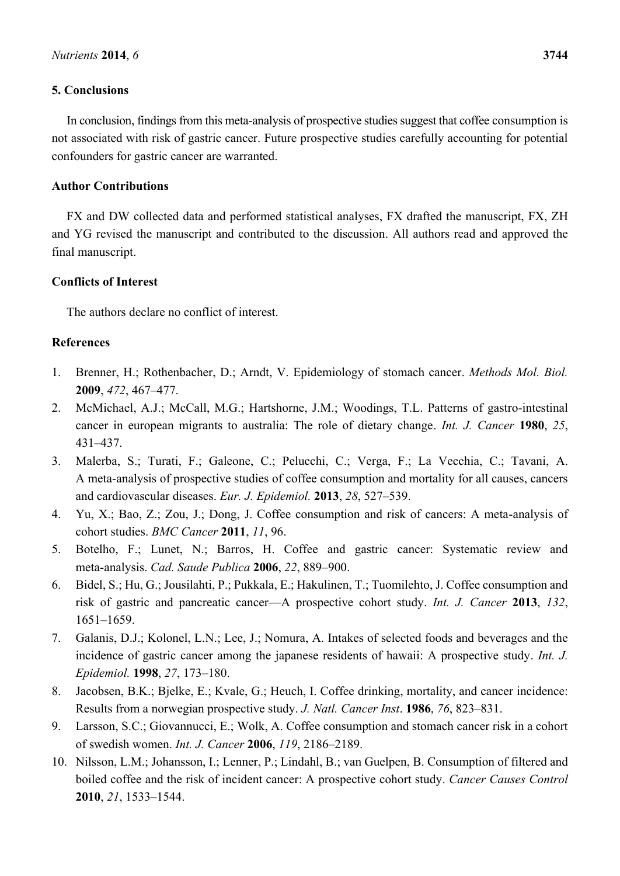# **5. Conclusions**

In conclusion, findings from this meta-analysis of prospective studies suggest that coffee consumption is not associated with risk of gastric cancer. Future prospective studies carefully accounting for potential confounders for gastric cancer are warranted.

# **Author Contributions**

FX and DW collected data and performed statistical analyses, FX drafted the manuscript, FX, ZH and YG revised the manuscript and contributed to the discussion. All authors read and approved the final manuscript.

# **Conflicts of Interest**

The authors declare no conflict of interest.

# **References**

- 1. Brenner, H.; Rothenbacher, D.; Arndt, V. Epidemiology of stomach cancer. *Methods Mol. Biol.* **2009**, *472*, 467–477.
- 2. McMichael, A.J.; McCall, M.G.; Hartshorne, J.M.; Woodings, T.L. Patterns of gastro-intestinal cancer in european migrants to australia: The role of dietary change. *Int. J. Cancer* **1980**, *25*, 431–437.
- 3. Malerba, S.; Turati, F.; Galeone, C.; Pelucchi, C.; Verga, F.; La Vecchia, C.; Tavani, A. A meta-analysis of prospective studies of coffee consumption and mortality for all causes, cancers and cardiovascular diseases. *Eur. J. Epidemiol.* **2013**, *28*, 527–539.
- 4. Yu, X.; Bao, Z.; Zou, J.; Dong, J. Coffee consumption and risk of cancers: A meta-analysis of cohort studies. *BMC Cancer* **2011**, *11*, 96.
- 5. Botelho, F.; Lunet, N.; Barros, H. Coffee and gastric cancer: Systematic review and meta-analysis. *Cad. Saude Publica* **2006**, *22*, 889–900.
- 6. Bidel, S.; Hu, G.; Jousilahti, P.; Pukkala, E.; Hakulinen, T.; Tuomilehto, J. Coffee consumption and risk of gastric and pancreatic cancer—A prospective cohort study. *Int. J. Cancer* **2013**, *132*, 1651–1659.
- 7. Galanis, D.J.; Kolonel, L.N.; Lee, J.; Nomura, A. Intakes of selected foods and beverages and the incidence of gastric cancer among the japanese residents of hawaii: A prospective study. *Int. J. Epidemiol.* **1998**, *27*, 173–180.
- 8. Jacobsen, B.K.; Bjelke, E.; Kvale, G.; Heuch, I. Coffee drinking, mortality, and cancer incidence: Results from a norwegian prospective study. *J. Natl. Cancer Inst*. **1986**, *76*, 823–831.
- 9. Larsson, S.C.; Giovannucci, E.; Wolk, A. Coffee consumption and stomach cancer risk in a cohort of swedish women. *Int. J. Cancer* **2006**, *119*, 2186–2189.
- 10. Nilsson, L.M.; Johansson, I.; Lenner, P.; Lindahl, B.; van Guelpen, B. Consumption of filtered and boiled coffee and the risk of incident cancer: A prospective cohort study. *Cancer Causes Control* **2010**, *21*, 1533–1544.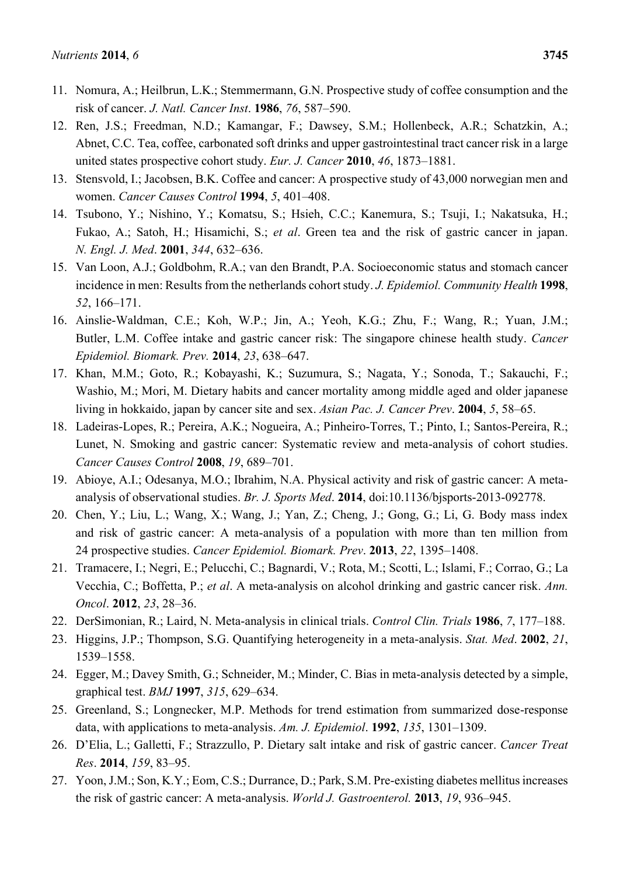- 11. Nomura, A.; Heilbrun, L.K.; Stemmermann, G.N. Prospective study of coffee consumption and the risk of cancer. *J. Natl. Cancer Inst*. **1986**, *76*, 587–590.
- 12. Ren, J.S.; Freedman, N.D.; Kamangar, F.; Dawsey, S.M.; Hollenbeck, A.R.; Schatzkin, A.; Abnet, C.C. Tea, coffee, carbonated soft drinks and upper gastrointestinal tract cancer risk in a large united states prospective cohort study. *Eur. J. Cancer* **2010**, *46*, 1873–1881.
- 13. Stensvold, I.; Jacobsen, B.K. Coffee and cancer: A prospective study of 43,000 norwegian men and women. *Cancer Causes Control* **1994**, *5*, 401–408.
- 14. Tsubono, Y.; Nishino, Y.; Komatsu, S.; Hsieh, C.C.; Kanemura, S.; Tsuji, I.; Nakatsuka, H.; Fukao, A.; Satoh, H.; Hisamichi, S.; *et al*. Green tea and the risk of gastric cancer in japan. *N. Engl. J. Med*. **2001**, *344*, 632–636.
- 15. Van Loon, A.J.; Goldbohm, R.A.; van den Brandt, P.A. Socioeconomic status and stomach cancer incidence in men: Results from the netherlands cohort study. *J. Epidemiol. Community Health* **1998**, *52*, 166–171.
- 16. Ainslie-Waldman, C.E.; Koh, W.P.; Jin, A.; Yeoh, K.G.; Zhu, F.; Wang, R.; Yuan, J.M.; Butler, L.M. Coffee intake and gastric cancer risk: The singapore chinese health study. *Cancer Epidemiol. Biomark. Prev.* **2014**, *23*, 638–647.
- 17. Khan, M.M.; Goto, R.; Kobayashi, K.; Suzumura, S.; Nagata, Y.; Sonoda, T.; Sakauchi, F.; Washio, M.; Mori, M. Dietary habits and cancer mortality among middle aged and older japanese living in hokkaido, japan by cancer site and sex. *Asian Pac. J. Cancer Prev*. **2004**, *5*, 58–65.
- 18. Ladeiras-Lopes, R.; Pereira, A.K.; Nogueira, A.; Pinheiro-Torres, T.; Pinto, I.; Santos-Pereira, R.; Lunet, N. Smoking and gastric cancer: Systematic review and meta-analysis of cohort studies. *Cancer Causes Control* **2008**, *19*, 689–701.
- 19. Abioye, A.I.; Odesanya, M.O.; Ibrahim, N.A. Physical activity and risk of gastric cancer: A metaanalysis of observational studies. *Br. J. Sports Med*. **2014**, doi:10.1136/bjsports-2013-092778.
- 20. Chen, Y.; Liu, L.; Wang, X.; Wang, J.; Yan, Z.; Cheng, J.; Gong, G.; Li, G. Body mass index and risk of gastric cancer: A meta-analysis of a population with more than ten million from 24 prospective studies. *Cancer Epidemiol. Biomark. Prev*. **2013**, *22*, 1395–1408.
- 21. Tramacere, I.; Negri, E.; Pelucchi, C.; Bagnardi, V.; Rota, M.; Scotti, L.; Islami, F.; Corrao, G.; La Vecchia, C.; Boffetta, P.; *et al*. A meta-analysis on alcohol drinking and gastric cancer risk. *Ann. Oncol*. **2012**, *23*, 28–36.
- 22. DerSimonian, R.; Laird, N. Meta-analysis in clinical trials. *Control Clin. Trials* **1986**, *7*, 177–188.
- 23. Higgins, J.P.; Thompson, S.G. Quantifying heterogeneity in a meta-analysis. *Stat. Med*. **2002**, *21*, 1539–1558.
- 24. Egger, M.; Davey Smith, G.; Schneider, M.; Minder, C. Bias in meta-analysis detected by a simple, graphical test. *BMJ* **1997**, *315*, 629–634.
- 25. Greenland, S.; Longnecker, M.P. Methods for trend estimation from summarized dose-response data, with applications to meta-analysis. *Am. J. Epidemiol*. **1992**, *135*, 1301–1309.
- 26. D'Elia, L.; Galletti, F.; Strazzullo, P. Dietary salt intake and risk of gastric cancer. *Cancer Treat Res*. **2014**, *159*, 83–95.
- 27. Yoon,J.M.; Son, K.Y.; Eom, C.S.; Durrance, D.; Park, S.M. Pre-existing diabetes mellitus increases the risk of gastric cancer: A meta-analysis. *World J. Gastroenterol.* **2013**, *19*, 936–945.